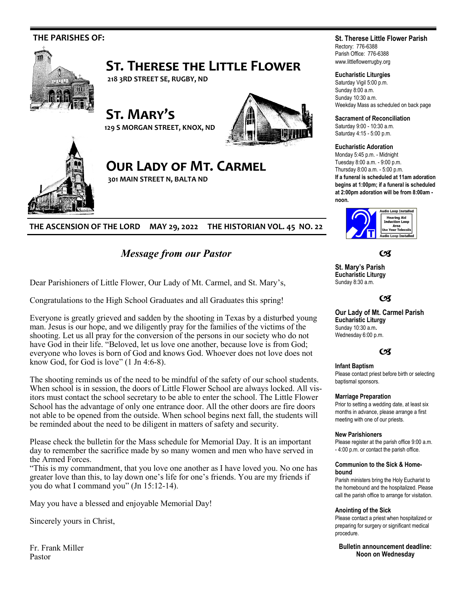

**THE ASCENSION OF THE LORD MAY 29, 2022 THE HISTORIAN VOL. 45 NO. 22**

# *Message from our Pastor*

Dear Parishioners of Little Flower, Our Lady of Mt. Carmel, and St. Mary's,

Congratulations to the High School Graduates and all Graduates this spring!

Everyone is greatly grieved and sadden by the shooting in Texas by a disturbed young man. Jesus is our hope, and we diligently pray for the families of the victims of the shooting. Let us all pray for the conversion of the persons in our society who do not have God in their life. "Beloved, let us love one another, because love is from God; everyone who loves is born of God and knows God. Whoever does not love does not know God, for God is love" (1 Jn 4:6-8).

The shooting reminds us of the need to be mindful of the safety of our school students. When school is in session, the doors of Little Flower School are always locked. All visitors must contact the school secretary to be able to enter the school. The Little Flower School has the advantage of only one entrance door. All the other doors are fire doors not able to be opened from the outside. When school begins next fall, the students will be reminded about the need to be diligent in matters of safety and security.

Please check the bulletin for the Mass schedule for Memorial Day. It is an important day to remember the sacrifice made by so many women and men who have served in the Armed Forces.

"This is my commandment, that you love one another as I have loved you. No one has greater love than this, to lay down one's life for one's friends. You are my friends if you do what I command you" (Jn 15:12-14).

May you have a blessed and enjoyable Memorial Day!

Sincerely yours in Christ,

Fr. Frank Miller Pastor

# **St. Therese Little Flower Parish**

Rectory: 776-6388 Parish Office: 776-6388 www.littleflowerrugby.org

# **Eucharistic Liturgies**

Saturday Vigil 5:00 p.m. Sunday 8:00 a.m. Sunday 10:30 a.m. Weekday Mass as scheduled on back page

**Sacrament of Reconciliation**

Saturday 9:00 - 10:30 a.m. Saturday 4:15 - 5:00 p.m.

## **Eucharistic Adoration**

Monday 5:45 p.m. - Midnight Tuesday 8:00 a.m. - 9:00 p.m. Thursday 8:00 a.m. - 5:00 p.m. **If a funeral is scheduled at 11am adoration begins at 1:00pm; if a funeral is scheduled at 2:00pm adoration will be from 8:00am -**



 $C<sup>g</sup>$ 

**St. Mary's Parish Eucharistic Liturgy**  Sunday 8:30 a.m.

# $C<sup>q</sup>$

**Our Lady of Mt. Carmel Parish Eucharistic Liturgy**  Sunday 10:30 a.m**.**  Wednesday 6:00 p.m.

# $C<sub>3</sub>$

# **Infant Baptism**

Please contact priest before birth or selecting baptismal sponsors.

### **Marriage Preparation**

Prior to setting a wedding date, at least six months in advance, please arrange a first meeting with one of our priests.

### **New Parishioners**

Please register at the parish office 9:00 a.m. - 4:00 p.m. or contact the parish office.

### **Communion to the Sick & Homebound**

Parish ministers bring the Holy Eucharist to the homebound and the hospitalized. Please call the parish office to arrange for visitation.

### **Anointing of the Sick**

Please contact a priest when hospitalized or preparing for surgery or significant medical procedure.

**Bulletin announcement deadline: Noon on Wednesday**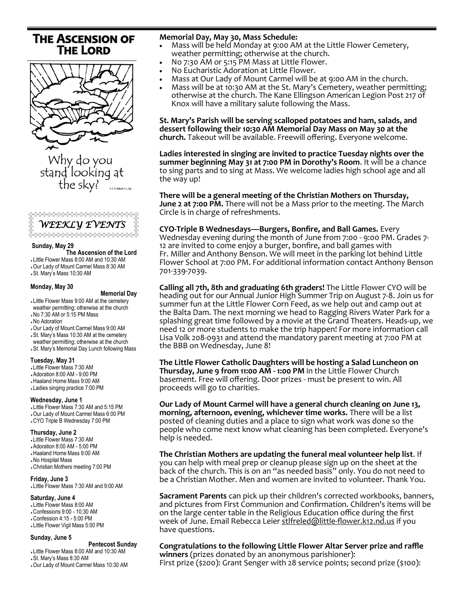# **THE ASCENSION OF THE LORD**





### **Sunday, May 29**

 **The Ascension of the Lord** 

- Little Flower Mass 8:00 AM and 10:30 AM Our Lady of Mount Carmel Mass 8:30 AM
- St. Mary's Mass 10:30 AM

# **Monday, May 30**

### **Memorial Day**

 Little Flower Mass 9:00 AM at the cemetery weather permitting; otherwise at the church No 7:30 AM or 5:15 PM Mass

- No Adoration
- Our Lady of Mount Carmel Mass 9:00 AM
- St. Mary's Mass 10:30 AM at the cemetery
- weather permitting; otherwise at the church
- St. Mary's Memorial Day Lunch following Mass

# **Tuesday, May 31**

- Little Flower Mass 7:30 AM
- Adoration 8:00 AM 9:00 PM
- Haaland Home Mass 9:00 AM
- Ladies singing practice 7:00 PM

### **Wednesday, June 1**

 Little Flower Mass 7:30 AM and 5:15 PM Our Lady of Mount Carmel Mass 6:00 PM CYO Triple B Wednesday 7:00 PM

### **Thursday, June 2**

- Little Flower Mass 7:30 AM
- Adoration 8:00 AM 5:00 PM
- Haaland Home Mass 9:00 AM
- No Hospital Mass
- Christian Mothers meeting 7:00 PM

### **Friday, June 3**

Little Flower Mass 7:30 AM and 9:00 AM 

### **Saturday, June 4**

 Little Flower Mass 8:00 AM Confessions 9:00 - 10:30 AM Confession 4:15 - 5:00 PM

Little Flower Vigil Mass 5:00 PM

# **Sunday, June 5**

### **Pentecost Sunday**

 Little Flower Mass 8:00 AM and 10:30 AM St. Mary's Mass 8:30 AM Our Lady of Mount Carmel Mass 10:30 AM

# **Memorial Day, May 30, Mass Schedule:**

- Mass will be held Monday at 9:00 AM at the Little Flower Cemetery, weather permitting; otherwise at the church.
- No 7:30 AM or 5:15 PM Mass at Little Flower.
- No Eucharistic Adoration at Little Flower.
- Mass at Our Lady of Mount Carmel will be at 9:00 AM in the church.
- Mass will be at 10:30 AM at the St. Mary's Cemetery, weather permitting; otherwise at the church. The Kane Ellingson American Legion Post 217 of Knox will have a military salute following the Mass.

**St. Mary's Parish will be serving scalloped potatoes and ham, salads, and dessert following their 10:30 AM Memorial Day Mass on May 30 at the church.** Takeout will be available. Freewill offering. Everyone welcome.

**Ladies interested in singing are invited to practice Tuesday nights over the summer beginning May 31 at 7:00 PM in Dorothy's Room**. It will be a chance to sing parts and to sing at Mass. We welcome ladies high school age and all the way up!

**There will be a general meeting of the Christian Mothers on Thursday, June 2 at 7:00 PM.** There will not be a Mass prior to the meeting. The March Circle is in charge of refreshments.

**CYO-Triple B Wednesdays—Burgers, Bonfire, and Ball Games.** Every Wednesday evening during the month of June from 7:00 - 9:00 PM. Grades 7- 12 are invited to come enjoy a burger, bonfire, and ball games with Fr. Miller and Anthony Benson. We will meet in the parking lot behind Little Flower School at 7:00 PM. For additional information contact Anthony Benson 701-339-7039.

**Calling all 7th, 8th and graduating 6th graders!** The Little Flower CYO will be heading out for our Annual Junior High Summer Trip on August 7-8. Join us for summer fun at the Little Flower Corn Feed, as we help out and camp out at the Balta Dam. The next morning we head to Ragging Rivers Water Park for a splashing great time followed by a movie at the Grand Theaters. Heads-up, we need 12 or more students to make the trip happen! For more information call Lisa Volk 208-0931 and attend the mandatory parent meeting at 7:00 PM at the BBB on Wednesday, June 8!

**The Little Flower Catholic Daughters will be hosting a Salad Luncheon on Thursday, June 9 from 11:00 AM - 1:00 PM** in the Little Flower Church basement. Free will offering. Door prizes - must be present to win. All proceeds will go to charities.

**Our Lady of Mount Carmel will have a general church cleaning on June 13, morning, afternoon, evening, whichever time works.** There will be a list posted of cleaning duties and a place to sign what work was done so the people who come next know what cleaning has been completed. Everyone's help is needed.

**The Christian Mothers are updating the funeral meal volunteer help list**. If you can help with meal prep or cleanup please sign up on the sheet at the back of the church. This is on an "as needed basis" only. You do not need to be a Christian Mother. Men and women are invited to volunteer. Thank You.

**Sacrament Parents** can pick up their children's corrected workbooks, banners, and pictures from First Communion and Confirmation. Children's items will be on the large center table in the Religious Education office during the first week of June. Email Rebecca Leier stlfreled@little-[flower.k12.nd.us](mailto:stlfreled@little-flower.k12.nd.us) if you have questions.

**Congratulations to the following Little Flower Altar Server prize and raffle winners** (prizes donated by an anonymous parishioner): First prize (\$200): Grant Senger with 28 service points; second prize (\$100):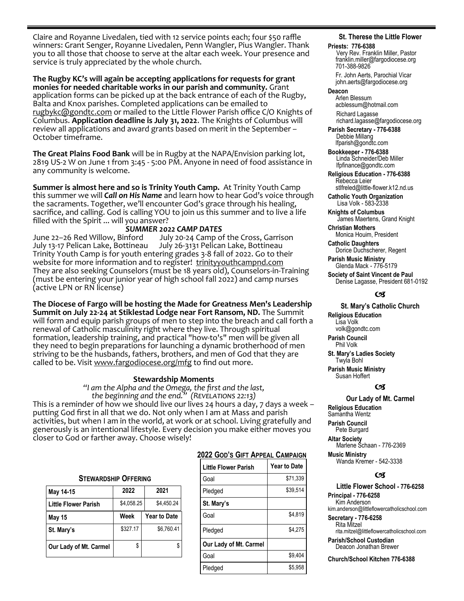Claire and Royanne Livedalen, tied with 12 service points each; four \$50 raffle winners: Grant Senger, Royanne Livedalen, Penn Wangler, Pius Wangler. Thank you to all those that choose to serve at the altar each week. Your presence and service is truly appreciated by the whole church.

**The Rugby KC's will again be accepting applications for requests for grant monies for needed charitable works in our parish and community.** Grant application forms can be picked up at the back entrance of each of the Rugby, Balta and Knox parishes. Completed applications can be emailed to [rugbykc@gondtc.com](mailto:rugbykc@gondtc.com) or mailed to the Little Flower Parish office C/O Knights of Columbus. **Application deadline is July 31, 2022**. The Knights of Columbus will review all applications and award grants based on merit in the September – October timeframe.

**The Great Plains Food Bank** will be in Rugby at the NAPA/Envision parking lot, 2819 US-2 W on June 1 from 3:45 - 5:00 PM. Anyone in need of food assistance in any community is welcome.

**Summer is almost here and so is Trinity Youth Camp.** At Trinity Youth Camp this summer we will *Call on His Name* and learn how to hear God's voice through the sacraments. Together, we'll encounter God's grace through his healing, sacrifice, and calling. God is calling YOU to join us this summer and to live a life filled with the Spirit ... will you answer?

**SUMMER 2022 CAMP DATES**<br>June 22-26 Red Willow, Binford July 20-24 Camp of June 22–26 Red Willow, Binford July 20-24 Camp of the Cross, Garrison<br>July 13-17 Pelican Lake, Bottineau July 26-3131 Pelican Lake, Bottineau July 13-17 Pelican Lake, Bottineau July 26-3131 Pelican Lake, Bottineau Trinity Youth Camp is for youth entering grades 3-8 fall of 2022. Go to their website for more information and to register! [trinityyouthcampnd.com](http://trinityyouthcampnd.com) They are also seeking Counselors (must be 18 years old), Counselors-in-Training (must be entering your junior year of high school fall 2022) and camp nurses (active LPN or RN license)

**The Diocese of Fargo will be hosting the Made for Greatness Men's Leadership Summit on July 22-24 at Stiklestad Lodge near Fort Ransom, ND.** The Summit will form and equip parish groups of men to step into the breach and call forth a renewal of Catholic masculinity right where they live. Through spiritual formation, leadership training, and practical "how-to's" men will be given all they need to begin preparations for launching a dynamic brotherhood of men striving to be the husbands, fathers, brothers, and men of God that they are called to be. Visit [www.fargodiocese.org/mfg](http://www.fargodiocese.org/mfg) to find out more.

# **Stewardship Moments**

*"I am the Alpha and the Omega, the first and the last, the beginning and the end." (Revelations 22:13)*

This is a reminder of how we should live our lives 24 hours a day, 7 days a week – putting God first in all that we do. Not only when I am at Mass and parish activities, but when I am in the world, at work or at school. Living gratefully and generously is an intentional lifestyle. Every decision you make either moves you closer to God or farther away. Choose wisely!

# **STEWARDSHIP OFFERING**

| May 14-15                   | 2022       | 2021                |  |  |
|-----------------------------|------------|---------------------|--|--|
| <b>Little Flower Parish</b> | \$4,058.25 | \$4,450.24          |  |  |
| May 15                      | Week       | <b>Year to Date</b> |  |  |
| St. Mary's                  | \$327.17   | \$6.760.41          |  |  |
| Our Lady of Mt. Carmel      | \$         |                     |  |  |

# **2022 GOD'S GIFT APPEAL CAMPAIGN**

| <b>Little Flower Parish</b> | Year to Date |
|-----------------------------|--------------|
| Goal                        | \$71,339     |
| Pledged                     | \$39,514     |
| St. Mary's                  |              |
| Goal                        | \$4,819      |
| Pledged                     | \$4.275      |
| Our Lady of Mt. Carmel      |              |
| Goal                        | \$9.404      |
| Pledged                     | \$5.958      |

# **St. Therese the Little Flower**

#### **Priests: 776-6388**

Very Rev. Franklin Miller, Pastor franklin.miller@fargodiocese.org 701-388-9826

 Fr. John Aerts, Parochial Vicar john.aerts@fargodiocese.org

# **Deacon**

 Arlen Blessum acblessum@hotmail.com Richard Lagasse richard.lagasse@fargodiocese.org

**Parish Secretary - 776-6388** Debbie Millang lfparish@gondtc.com

**Bookkeeper - 776-6388** Linda Schneider/Deb Miller lfpfinance@gondtc.com

**Religious Education - 776-6388** Rebecca Leier [stlfreled@little-flower.k12.nd.us](mailto:stlfreled@little-flower.k12.nd.us) 

**Catholic Youth Organization** Lisa Volk - 583-2338

**Knights of Columbus** James Maertens, Grand Knight

**Christian Mothers** Monica Houim, President

**Catholic Daughters** Dorice Duchscherer, Regent **Parish Music Ministry**

Glenda Mack - 776-5179

**Society of Saint Vincent de Paul** Denise Lagasse, President 681-0192

# (x

### **St. Mary's Catholic Church**

**Religious Education**  Lisa Volk volk@gondtc.com **Parish Council** 

 Phil Volk **St. Mary's Ladies Society** 

 Twyla Bohl **Parish Music Ministry**

Susan Hoffert

# $\alpha$

# **Our Lady of Mt. Carmel**

**Religious Education**  Samantha Wentz **Parish Council**  Pete Burgard **Altar Society**  Marlene Schaan - 776-2369 **Music Ministry**

Wanda Kremer - 542-3338

# $\epsilon$

**Little Flower School - 776-6258 Principal - 776-6258** Kim Anderson kim.anderson@littleflowercatholicschool.com

**Secretary - 776-6258** Rita Mitzel rita.mitzel@littleflowercatholicschool.com

**Parish/School Custodian** Deacon Jonathan Brewer

**Church/School Kitchen 776-6388**